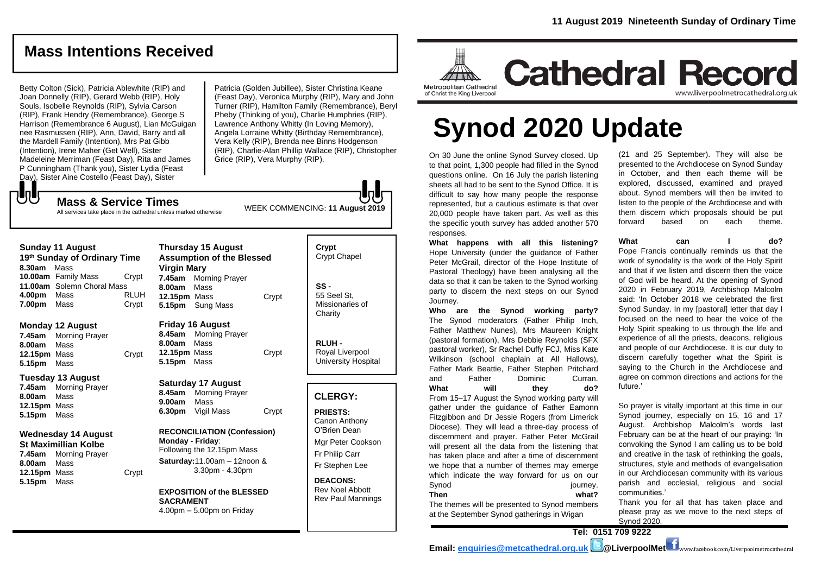# **Mass Intentions Received**

Betty Colton (Sick), Patricia Ablewhite (RIP) and Joan Donnelly (RIP), Gerard Webb (RIP), Holy Souls, Isobelle Reynolds (RIP), Sylvia Carson (RIP), Frank Hendry (Remembrance), George S Harrison (Remembrance 6 August), Lian McGuigan nee Rasmussen (RIP), Ann, David, Barry and all the Mardell Family (Intention), Mrs Pat Gibb (Intention), Irene Maher (Get Well), Sister Madeleine Merriman (Feast Day), Rita and James P Cunningham (Thank you), Sister Lydia (Feast Day), Sister Aine Costello (Feast Day), Sister

₹UU

Patricia (Golden Jubillee), Sister Christina Keane (Feast Day), Veronica Murphy (RIP), Mary and John Turner (RIP), Hamilton Family (Remembrance), Beryl Pheby (Thinking of you), Charlie Humphries (RIP), Lawrence Anthony Whitty (In Loving Memory), Angela Lorraine Whitty (Birthday Remembrance), Vera Kelly (RIP), Brenda nee Binns Hodgenson (RIP), Charlie-Alan Phillip Wallace (RIP), Christopher Grice (RIP), Vera Murphy (RIP).

WEEK COMMENCING: **11 August 2019**

**Mass & Service Times** All services take place in the cathedral unless marked otherwise

| <b>Sunday 11 August</b><br>19th Sunday of Ordinary Time<br>8.30am<br>Mass                                                        |                                                                   |                                                                                                                                              | <b>Thursday 15 August</b><br><b>Assumption of the Blessed</b><br><b>Virgin Mary</b> |                                                                                        |       | Crypt<br><b>Crypt Chapel</b>                                          |  |
|----------------------------------------------------------------------------------------------------------------------------------|-------------------------------------------------------------------|----------------------------------------------------------------------------------------------------------------------------------------------|-------------------------------------------------------------------------------------|----------------------------------------------------------------------------------------|-------|-----------------------------------------------------------------------|--|
| 4.00pm<br>7.00pm                                                                                                                 | 10.00am Family Mass<br>11.00am Solemn Choral Mass<br>Mass<br>Mass | Crypt<br><b>RLUH</b><br>Crypt                                                                                                                | 7.45am<br>8.00am<br>12.15pm Mass                                                    | <b>Morning Prayer</b><br>Mass<br>5.15pm Sung Mass                                      | Crypt | $SS -$<br>55 Seel St.<br>Missionaries of<br>Charity                   |  |
| 7.45am<br>8.00am<br>12.15pm Mass<br>5.15pm                                                                                       | Monday 12 August<br>Morning Prayer<br>Mass<br>Mass                | Crypt                                                                                                                                        | 8.45am<br>8.00am<br>12.15pm Mass<br>5.15pm                                          | <b>Friday 16 August</b><br><b>Morning Prayer</b><br>Mass<br>Mass                       | Crypt | RLUH-<br>Royal Liverpool<br><b>University Hospital</b>                |  |
| 7.45am<br>8.00am<br>12.15pm Mass<br>5.15pm                                                                                       | Tuesday 13 August<br><b>Morning Prayer</b><br>Mass<br>Mass        |                                                                                                                                              | 8.45am<br>9.00am<br>6.30pm                                                          | <b>Saturday 17 August</b><br><b>Morning Prayer</b><br>Mass<br>Vigil Mass               | Crypt | <b>CLERGY:</b><br><b>PRIESTS:</b>                                     |  |
| Wednesday 14 August<br><b>St Maximillian Kolbe</b><br>7.45am<br><b>Morning Prayer</b><br>Mass<br>8.00am<br>12.15pm Mass<br>Crypt |                                                                   | <b>RECONCILIATION (Confession)</b><br>Monday - Friday:<br>Following the 12.15pm Mass<br>Saturday: $11.00am - 12n$ oon &<br>$3.30pm - 4.30pm$ |                                                                                     | Canon Anthony<br>O'Brien Dean<br>Mgr Peter Cookson<br>Fr Philip Carr<br>Fr Stephen Lee |       |                                                                       |  |
| 5.15pm                                                                                                                           | Mass                                                              |                                                                                                                                              | <b>SACRAMENT</b>                                                                    | <b>EXPOSITION of the BLESSED</b><br>$4.00 \text{pm} - 5.00 \text{pm}$ on Friday        |       | <b>DEACONS:</b><br><b>Rev Noel Abbott</b><br><b>Rev Paul Mannings</b> |  |

Mgr Peter Cookson



**Cathedral Record** www.liverpoolmetrocathedral.org.uk

**Synod 2020 Update**

On 30 June the online Synod Survey closed. Up to that point, 1,300 people had filled in the Synod questions online. On 16 July the parish listening sheets all had to be sent to the Synod Office. It is difficult to say how many people the response represented, but a cautious estimate is that over 20,000 people have taken part. As well as this the specific youth survey has added another 570 responses.

**What happens with all this listening?** Hope University (under the guidance of Father Peter McGrail, director of the Hope Institute of Pastoral Theology) have been analysing all the data so that it can be taken to the Synod working party to discern the next steps on our Synod Journey.

**Who are the Synod working party?** The Synod moderators (Father Philip Inch, Father Matthew Nunes), Mrs Maureen Knight (pastoral formation), Mrs Debbie Reynolds (SFX pastoral worker), Sr Rachel Duffy FCJ, Miss Kate Wilkinson (school chaplain at All Hallows), Father Mark Beattie, Father Stephen Pritchard and Father Dominic Curran. What will they do? From 15–17 August the Synod working party will gather under the guidance of Father Eamonn Fitzgibbon and Dr Jessie Rogers (from Limerick Diocese). They will lead a three-day process of discernment and prayer. Father Peter McGrail will present all the data from the listening that has taken place and after a time of discernment we hope that a number of themes may emerge which indicate the way forward for us on our Synod iourney. **Then what?**

The themes will be presented to Synod members at the September Synod gatherings in Wigan

(21 and 25 September). They will also be presented to the Archdiocese on Synod Sunday in October, and then each theme will be explored, discussed, examined and prayed about. Synod members will then be invited to listen to the people of the Archdiocese and with them discern which proposals should be put forward based on each theme.

**What can I do?** Pope Francis continually reminds us that the work of synodality is the work of the Holy Spirit and that if we listen and discern then the voice of God will be heard. At the opening of Synod 2020 in February 2019, Archbishop Malcolm said: 'In October 2018 we celebrated the first Synod Sunday. In my [pastoral] letter that day I

focused on the need to hear the voice of the Holy Spirit speaking to us through the life and experience of all the priests, deacons, religious and people of our Archdiocese. It is our duty to discern carefully together what the Spirit is saying to the Church in the Archdiocese and agree on common directions and actions for the future.'

So prayer is vitally important at this time in our Synod journey, especially on 15, 16 and 17 August. Archbishop Malcolm's words last February can be at the heart of our praying: 'In convoking the Synod I am calling us to be bold and creative in the task of rethinking the goals, structures, style and methods of evangelisation in our Archdiocesan community with its various parish and ecclesial, religious and social communities.'

Thank you for all that has taken place and please pray as we move to the next steps of Synod 2020.

**Tel: 0151 709 9222**